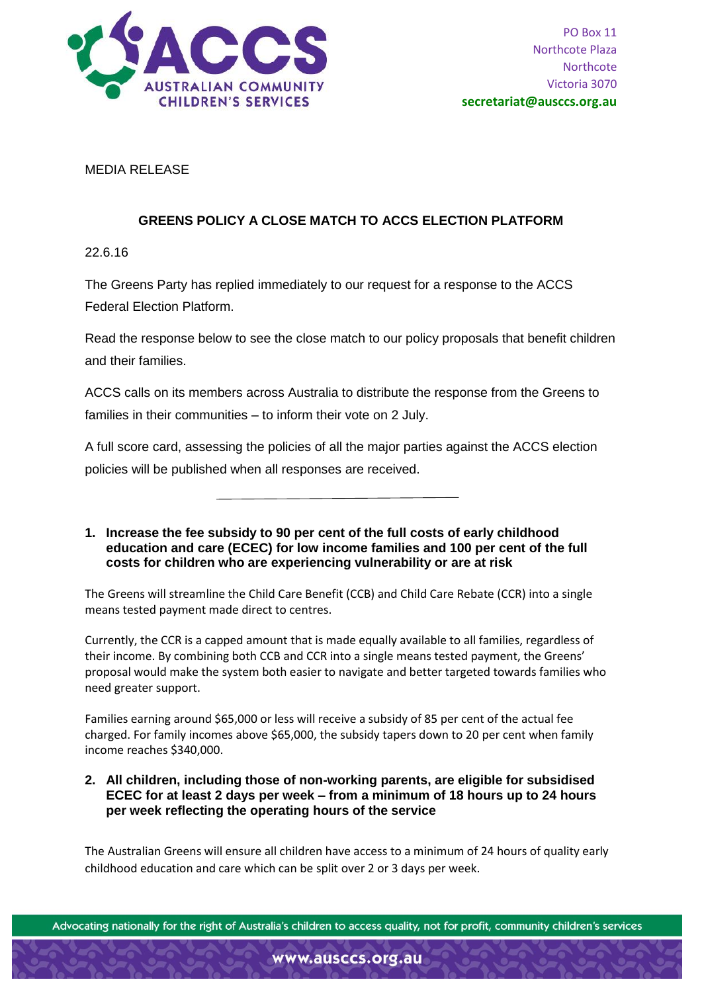

MEDIA RELEASE

## **GREENS POLICY A CLOSE MATCH TO ACCS ELECTION PLATFORM**

22.6.16

The Greens Party has replied immediately to our request for a response to the ACCS Federal Election Platform.

Read the response below to see the close match to our policy proposals that benefit children and their families.

ACCS calls on its members across Australia to distribute the response from the Greens to families in their communities – to inform their vote on 2 July.

A full score card, assessing the policies of all the major parties against the ACCS election policies will be published when all responses are received.

## **1. Increase the fee subsidy to 90 per cent of the full costs of early childhood education and care (ECEC) for low income families and 100 per cent of the full costs for children who are experiencing vulnerability or are at risk**

The Greens will streamline the Child Care Benefit (CCB) and Child Care Rebate (CCR) into a single means tested payment made direct to centres.

Currently, the CCR is a capped amount that is made equally available to all families, regardless of their income. By combining both CCB and CCR into a single means tested payment, the Greens' proposal would make the system both easier to navigate and better targeted towards families who need greater support.

Families earning around \$65,000 or less will receive a subsidy of 85 per cent of the actual fee charged. For family incomes above \$65,000, the subsidy tapers down to 20 per cent when family income reaches \$340,000.

**2. All children, including those of non-working parents, are eligible for subsidised ECEC for at least 2 days per week – from a minimum of 18 hours up to 24 hours per week reflecting the operating hours of the service**

The Australian Greens will ensure all children have access to a minimum of 24 hours of quality early childhood education and care which can be split over 2 or 3 days per week.

Advocating nationally for the right of Australia's children to access quality, not for profit, community children's services

www.ausccs.org.au